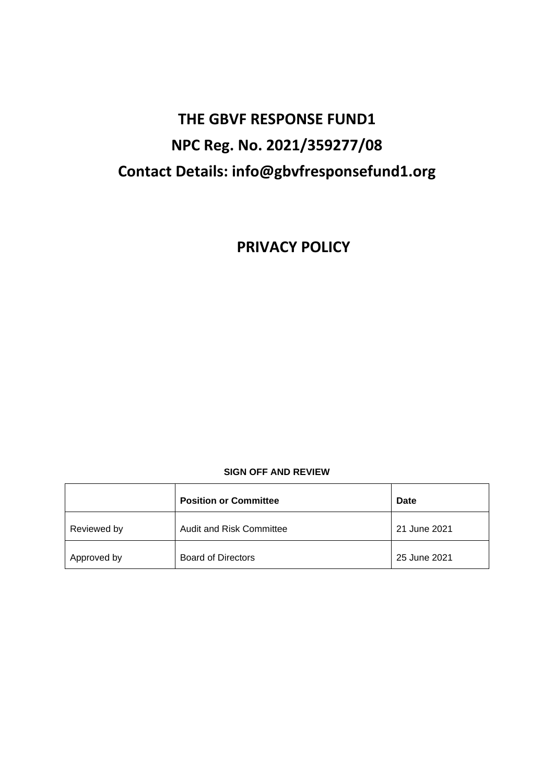# **THE GBVF RESPONSE FUND1 NPC Reg. No. 2021/359277/08 Contact Details: info@gbvfresponsefund1.org**

**PRIVACY POLICY**

# **SIGN OFF AND REVIEW**

|             | <b>Position or Committee</b> | Date         |
|-------------|------------------------------|--------------|
| Reviewed by | Audit and Risk Committee     | 21 June 2021 |
| Approved by | <b>Board of Directors</b>    | 25 June 2021 |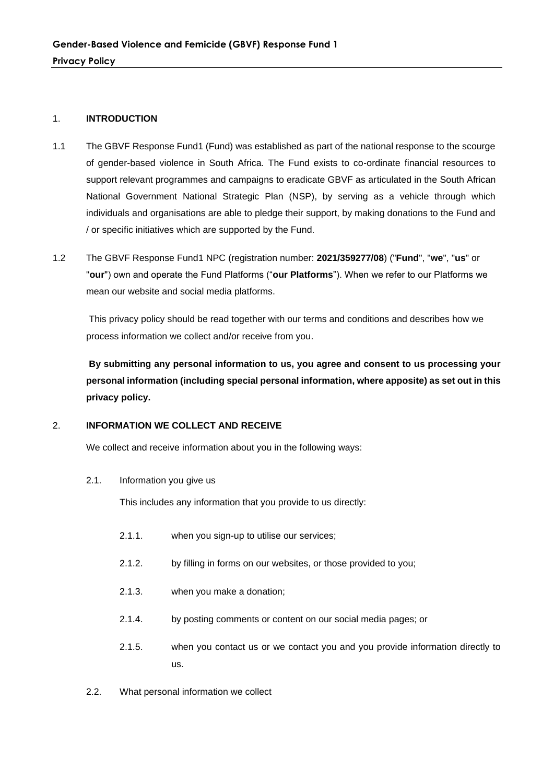#### 1. **INTRODUCTION**

- 1.1 The GBVF Response Fund1 (Fund) was established as part of the national response to the scourge of gender-based violence in South Africa. The Fund exists to co-ordinate financial resources to support relevant programmes and campaigns to eradicate GBVF as articulated in the South African National Government National Strategic Plan (NSP), by serving as a vehicle through which individuals and organisations are able to pledge their support, by making donations to the Fund and / or specific initiatives which are supported by the Fund.
- 1.2 The GBVF Response Fund1 NPC (registration number: **2021/359277/08**) ("**Fund**", "**we**", "**us**" or "**our**") own and operate the Fund Platforms ("**our Platforms**"). When we refer to our Platforms we mean our website and social media platforms.

This privacy policy should be read together with our terms and conditions and describes how we process information we collect and/or receive from you.

**By submitting any personal information to us, you agree and consent to us processing your personal information (including special personal information, where apposite) as set out in this privacy policy.**

# 2. **INFORMATION WE COLLECT AND RECEIVE**

We collect and receive information about you in the following ways:

# 2.1. Information you give us

This includes any information that you provide to us directly:

- 2.1.1. when you sign-up to utilise our services;
- 2.1.2. by filling in forms on our websites, or those provided to you;
- 2.1.3. when you make a donation;
- 2.1.4. by posting comments or content on our social media pages; or
- 2.1.5. when you contact us or we contact you and you provide information directly to us.
- 2.2. What personal information we collect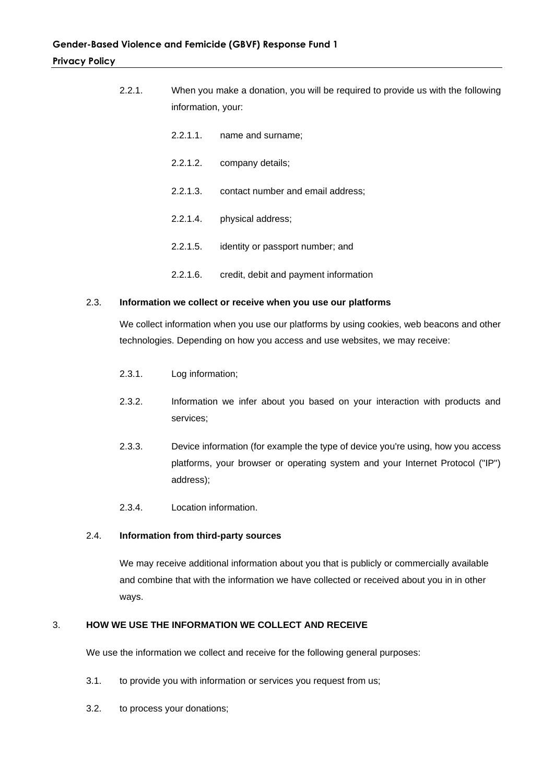| 2.2.1. | information, your: | When you make a donation, you will be required to provide us with the following |  |
|--------|--------------------|---------------------------------------------------------------------------------|--|
|        | 2.2.1.1.           | name and surname;                                                               |  |
|        | 2.2.1.2.           | company details;                                                                |  |
|        | 2.2.1.3.           | contact number and email address;                                               |  |
|        | 2.2.1.4.           | physical address;                                                               |  |
|        | 2.2.1.5.           | identity or passport number; and                                                |  |
|        | 2.2.1.6            | credit, debit and payment information                                           |  |

#### 2.3. **Information we collect or receive when you use our platforms**

We collect information when you use our platforms by using cookies, web beacons and other technologies. Depending on how you access and use websites, we may receive:

- 2.3.1. Log information;
- 2.3.2. Information we infer about you based on your interaction with products and services;
- 2.3.3. Device information (for example the type of device you're using, how you access platforms, your browser or operating system and your Internet Protocol ("IP") address);
- 2.3.4. Location information.

#### 2.4. **Information from third-party sources**

We may receive additional information about you that is publicly or commercially available and combine that with the information we have collected or received about you in in other ways.

#### 3. **HOW WE USE THE INFORMATION WE COLLECT AND RECEIVE**

We use the information we collect and receive for the following general purposes:

- 3.1. to provide you with information or services you request from us;
- 3.2. to process your donations;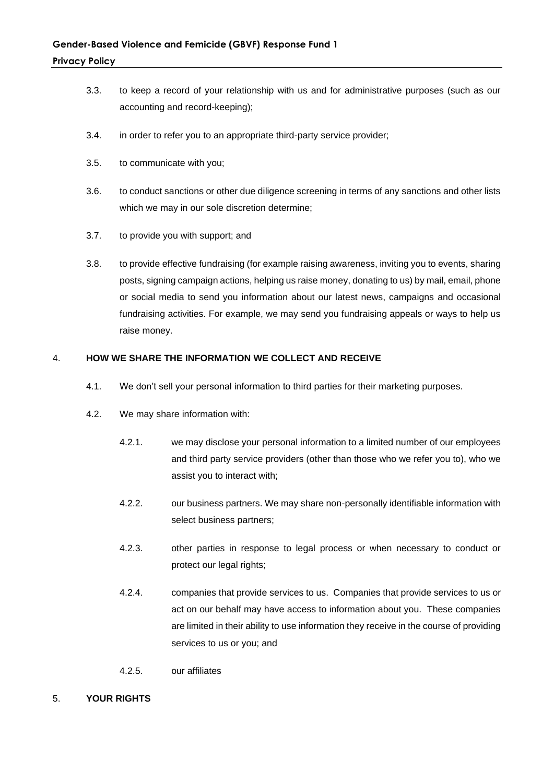- 3.3. to keep a record of your relationship with us and for administrative purposes (such as our accounting and record-keeping);
- 3.4. in order to refer you to an appropriate third-party service provider;
- 3.5. to communicate with you;
- 3.6. to conduct sanctions or other due diligence screening in terms of any sanctions and other lists which we may in our sole discretion determine;
- 3.7. to provide you with support; and
- 3.8. to provide effective fundraising (for example raising awareness, inviting you to events, sharing posts, signing campaign actions, helping us raise money, donating to us) by mail, email, phone or social media to send you information about our latest news, campaigns and occasional fundraising activities. For example, we may send you fundraising appeals or ways to help us raise money.

# 4. **HOW WE SHARE THE INFORMATION WE COLLECT AND RECEIVE**

- 4.1. We don't sell your personal information to third parties for their marketing purposes.
- 4.2. We may share information with:
	- 4.2.1. we may disclose your personal information to a limited number of our employees and third party service providers (other than those who we refer you to), who we assist you to interact with;
	- 4.2.2. our business partners. We may share non-personally identifiable information with select business partners;
	- 4.2.3. other parties in response to legal process or when necessary to conduct or protect our legal rights;
	- 4.2.4. companies that provide services to us. Companies that provide services to us or act on our behalf may have access to information about you. These companies are limited in their ability to use information they receive in the course of providing services to us or you; and
	- 4.2.5. our affiliates
- 5. **YOUR RIGHTS**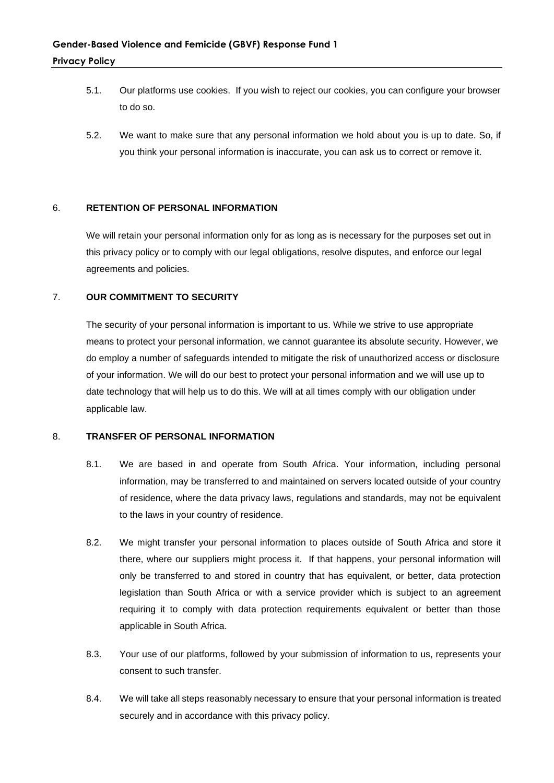- 5.1. Our platforms use cookies. If you wish to reject our cookies, you can configure your browser to do so.
- 5.2. We want to make sure that any personal information we hold about you is up to date. So, if you think your personal information is inaccurate, you can ask us to correct or remove it.

# 6. **RETENTION OF PERSONAL INFORMATION**

We will retain your personal information only for as long as is necessary for the purposes set out in this privacy policy or to comply with our legal obligations, resolve disputes, and enforce our legal agreements and policies.

#### 7. **OUR COMMITMENT TO SECURITY**

The security of your personal information is important to us. While we strive to use appropriate means to protect your personal information, we cannot guarantee its absolute security. However, we do employ a number of safeguards intended to mitigate the risk of unauthorized access or disclosure of your information. We will do our best to protect your personal information and we will use up to date technology that will help us to do this. We will at all times comply with our obligation under applicable law.

#### 8. **TRANSFER OF PERSONAL INFORMATION**

- 8.1. We are based in and operate from South Africa. Your information, including personal information, may be transferred to and maintained on servers located outside of your country of residence, where the data privacy laws, regulations and standards, may not be equivalent to the laws in your country of residence.
- 8.2. We might transfer your personal information to places outside of South Africa and store it there, where our suppliers might process it. If that happens, your personal information will only be transferred to and stored in country that has equivalent, or better, data protection legislation than South Africa or with a service provider which is subject to an agreement requiring it to comply with data protection requirements equivalent or better than those applicable in South Africa.
- 8.3. Your use of our platforms, followed by your submission of information to us, represents your consent to such transfer.
- 8.4. We will take all steps reasonably necessary to ensure that your personal information is treated securely and in accordance with this privacy policy.